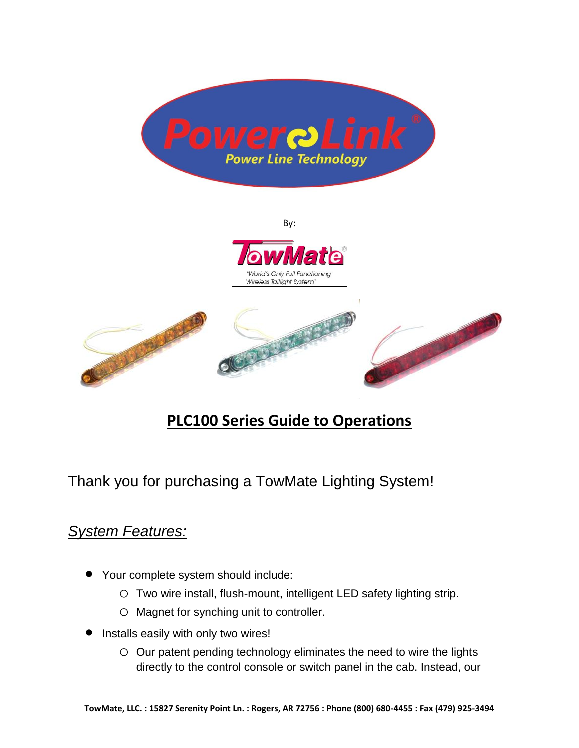

By:



# **PLC100 Series Guide to Operations**

Thank you for purchasing a TowMate Lighting System!

## *System Features:*

- Your complete system should include:
	- o Two wire install, flush-mount, intelligent LED safety lighting strip.
	- o Magnet for synching unit to controller.
- Installs easily with only two wires!
	- o Our patent pending technology eliminates the need to wire the lights directly to the control console or switch panel in the cab. Instead, our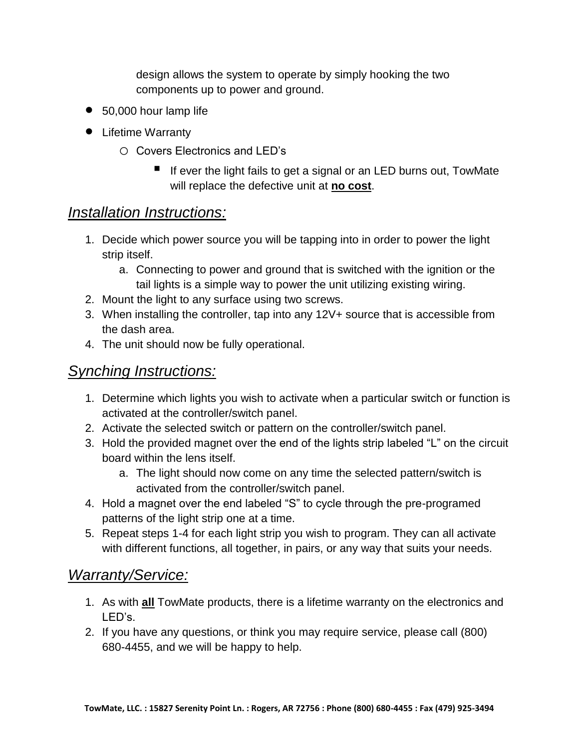design allows the system to operate by simply hooking the two components up to power and ground.

- 50,000 hour lamp life
- Lifetime Warranty
	- o Covers Electronics and LED's
		- If ever the light fails to get a signal or an LED burns out, TowMate will replace the defective unit at **no cost**.

### *Installation Instructions:*

- 1. Decide which power source you will be tapping into in order to power the light strip itself.
	- a. Connecting to power and ground that is switched with the ignition or the tail lights is a simple way to power the unit utilizing existing wiring.
- 2. Mount the light to any surface using two screws.
- 3. When installing the controller, tap into any 12V+ source that is accessible from the dash area.
- 4. The unit should now be fully operational.

### *Synching Instructions:*

- 1. Determine which lights you wish to activate when a particular switch or function is activated at the controller/switch panel.
- 2. Activate the selected switch or pattern on the controller/switch panel.
- 3. Hold the provided magnet over the end of the lights strip labeled "L" on the circuit board within the lens itself.
	- a. The light should now come on any time the selected pattern/switch is activated from the controller/switch panel.
- 4. Hold a magnet over the end labeled "S" to cycle through the pre-programed patterns of the light strip one at a time.
- 5. Repeat steps 1-4 for each light strip you wish to program. They can all activate with different functions, all together, in pairs, or any way that suits your needs.

#### *Warranty/Service:*

- 1. As with **all** TowMate products, there is a lifetime warranty on the electronics and LED's.
- 2. If you have any questions, or think you may require service, please call (800) 680-4455, and we will be happy to help.